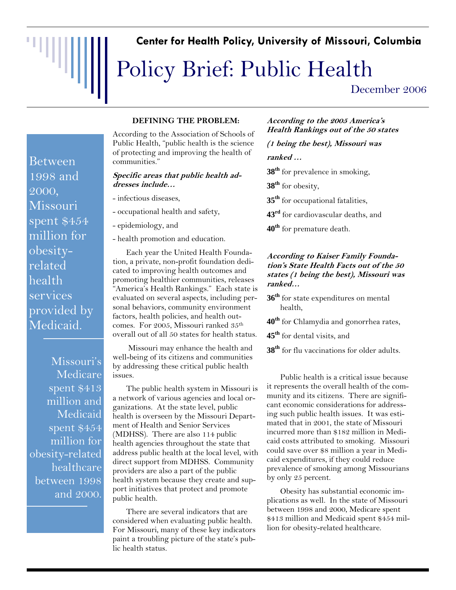### **Center for Health Policy, University of Missouri, Columbia**

# Policy Brief: Public Health

December 2006

Between 1998 and 2000, Missouri spent \$454 million for obesityrelated health services provided by Medicaid.

"WIII

Missouri's Medicare spent \$413 million and Medicaid spent \$454 million for obesity-related healthcare between 1998 and 2000.

#### **DEFINING THE PROBLEM:**

According to the Association of Schools of Public Health, "public health is the science of protecting and improving the health of communities."

#### **Specific areas that public health addresses include…**

- infectious diseases,
- occupational health and safety,
- epidemiology, and
- health promotion and education.

Each year the United Health Foundation, a private, non-profit foundation dedicated to improving health outcomes and promoting healthier communities, releases "America's Health Rankings." Each state is evaluated on several aspects, including personal behaviors, community environment factors, health policies, and health outcomes. For 2005, Missouri ranked 35th overall out of all 50 states for health status.

 Missouri may enhance the health and well-being of its citizens and communities by addressing these critical public health issues.

The public health system in Missouri is a network of various agencies and local organizations. At the state level, public health is overseen by the Missouri Department of Health and Senior Services (MDHSS). There are also 114 public health agencies throughout the state that address public health at the local level, with direct support from MDHSS. Community providers are also a part of the public health system because they create and support initiatives that protect and promote public health.

There are several indicators that are considered when evaluating public health. For Missouri, many of these key indicators paint a troubling picture of the state's public health status.

#### **According to the 2005 America's Health Rankings out of the 50 states**

**(1 being the best), Missouri was ranked …** 

**38th** for prevalence in smoking,

**38th** for obesity,

**35th** for occupational fatalities,

- **43rd** for cardiovascular deaths, and
- **40th** for premature death.

#### **According to Kaiser Family Foundation's State Health Facts out of the 50 states (1 being the best), Missouri was ranked…**

- **36th** for state expenditures on mental health,
- **40th** for Chlamydia and gonorrhea rates,
- **45th** for dental visits, and
- **38th** for flu vaccinations for older adults.

Public health is a critical issue because it represents the overall health of the community and its citizens. There are significant economic considerations for addressing such public health issues. It was estimated that in 2001, the state of Missouri incurred more than \$182 million in Medicaid costs attributed to smoking. Missouri could save over \$8 million a year in Medicaid expenditures, if they could reduce prevalence of smoking among Missourians by only 25 percent.

Obesity has substantial economic implications as well. In the state of Missouri between 1998 and 2000, Medicare spent \$413 million and Medicaid spent \$454 million for obesity-related healthcare.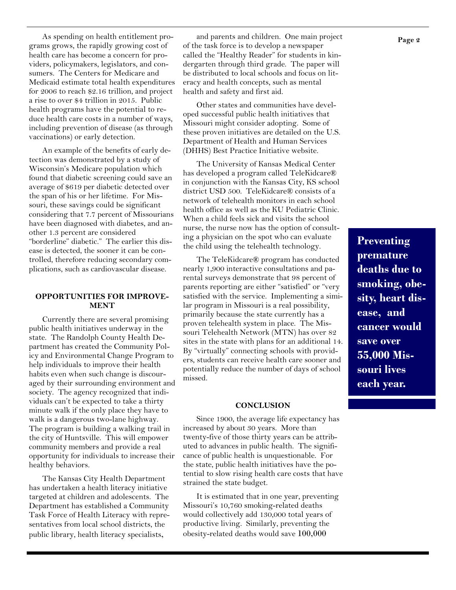As spending on health entitlement programs grows, the rapidly growing cost of health care has become a concern for providers, policymakers, legislators, and consumers. The Centers for Medicare and Medicaid estimate total health expenditures for 2006 to reach \$2.16 trillion, and project a rise to over \$4 trillion in 2015. Public health programs have the potential to reduce health care costs in a number of ways, including prevention of disease (as through vaccinations) or early detection.

An example of the benefits of early detection was demonstrated by a study of Wisconsin's Medicare population which found that diabetic screening could save an average of \$619 per diabetic detected over the span of his or her lifetime. For Missouri, these savings could be significant considering that 7.7 percent of Missourians have been diagnosed with diabetes, and another 1.3 percent are considered "borderline" diabetic." The earlier this disease is detected, the sooner it can be controlled, therefore reducing secondary complications, such as cardiovascular disease.

#### **OPPORTUNITIES FOR IMPROVE-MENT**

Currently there are several promising public health initiatives underway in the state. The Randolph County Health Department has created the Community Policy and Environmental Change Program to help individuals to improve their health habits even when such change is discouraged by their surrounding environment and society. The agency recognized that individuals can't be expected to take a thirty minute walk if the only place they have to walk is a dangerous two-lane highway. The program is building a walking trail in the city of Huntsville. This will empower community members and provide a real opportunity for individuals to increase their healthy behaviors.

The Kansas City Health Department has undertaken a health literacy initiative targeted at children and adolescents. The Department has established a Community Task Force of Health Literacy with representatives from local school districts, the public library, health literacy specialists,

and parents and children. One main project of the task force is to develop a newspaper called the "Healthy Reader" for students in kindergarten through third grade. The paper will be distributed to local schools and focus on literacy and health concepts, such as mental health and safety and first aid.

Other states and communities have developed successful public health initiatives that Missouri might consider adopting. Some of these proven initiatives are detailed on the U.S. Department of Health and Human Services (DHHS) Best Practice Initiative website.

The University of Kansas Medical Center has developed a program called TeleKidcare® in conjunction with the Kansas City, KS school district USD 500. TeleKidcare® consists of a network of telehealth monitors in each school health office as well as the KU Pediatric Clinic. When a child feels sick and visits the school nurse, the nurse now has the option of consulting a physician on the spot who can evaluate the child using the telehealth technology.

The TeleKidcare® program has conducted nearly 1,900 interactive consultations and parental surveys demonstrate that 98 percent of parents reporting are either "satisfied" or "very satisfied with the service. Implementing a similar program in Missouri is a real possibility, primarily because the state currently has a proven telehealth system in place. The Missouri Telehealth Network (MTN) has over 82 sites in the state with plans for an additional 14. By "virtually" connecting schools with providers, students can receive health care sooner and potentially reduce the number of days of school missed.

#### **CONCLUSION**

Since 1900, the average life expectancy has increased by about 30 years. More than twenty-five of those thirty years can be attributed to advances in public health. The significance of public health is unquestionable. For the state, public health initiatives have the potential to slow rising health care costs that have strained the state budget.

It is estimated that in one year, preventing Missouri's 10,760 smoking-related deaths would collectively add 130,000 total years of productive living. Similarly, preventing the obesity-related deaths would save 100,000

**Preventing premature deaths due to smoking, obesity, heart disease, and cancer would save over 55,000 Missouri lives each year.**